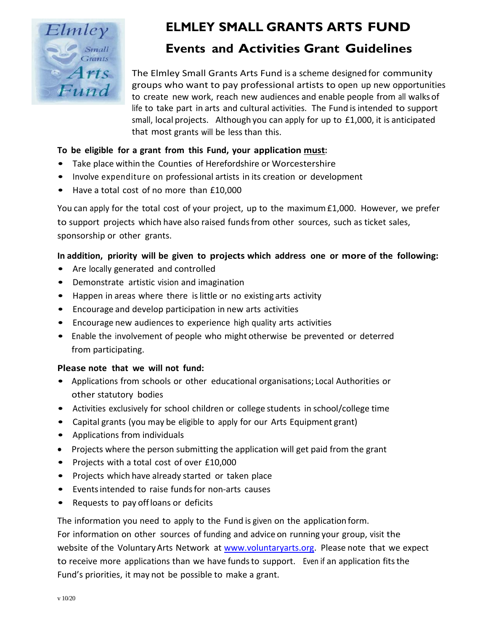

# **ELMLEY SMALL GRANTS ARTS FUND**

## **Events and Activities Grant Guidelines**

The Elmley Small Grants Arts Fund is a scheme designed for community groups who want to pay professional artists to open up new opportunities to create new work, reach new audiences and enable people from all walks of life to take part in arts and cultural activities. The Fund isintended to support small, local projects. Although you can apply for up to £1,000, it is anticipated that most grants will be less than this.

### **To be eligible for a grant from this Fund, your application must:**

- Take place within the Counties of Herefordshire or Worcestershire
- Involve expenditure on professional artists in its creation or development
- Have a total cost of no more than £10,000

You can apply for the total cost of your project, up to the maximum£1,000. However, we prefer to support projects which have also raised fundsfrom other sources, such as ticket sales, sponsorship or other grants.

### In addition, priority will be given to projects which address one or more of the following:

- Are locally generated and controlled
- Demonstrate artistic vision and imagination
- Happen in areas where there is little or no existing arts activity
- Encourage and develop participation in new arts activities
- Encourage new audiences to experience high quality arts activities
- Enable the involvement of people who might otherwise be prevented or deterred from participating.

#### **Please note that we will not fund:**

- Applications from schools or other educational organisations; Local Authorities or other statutory bodies
- Activities exclusively for school children or college students in school/college time
- Capital grants (you may be eligible to apply for our Arts Equipment grant)
- Applications from individuals
- Projects where the person submitting the application will get paid from the grant
- Projects with a total cost of over £10,000
- Projects which have already started or taken place
- Eventsintended to raise fundsfor non‐arts causes
- Requests to pay offloans or deficits

The information you need to apply to the Fund is given on the application form.

For information on other sources of funding and advice on running your group, visit the website of the Voluntary Arts Network at [www.voluntaryarts.org.](http://www.voluntaryarts.org/) Please note that we expect to receive more applications than we have funds to support. Even if an application fits the Fund's priorities, it may not be possible to make a grant.